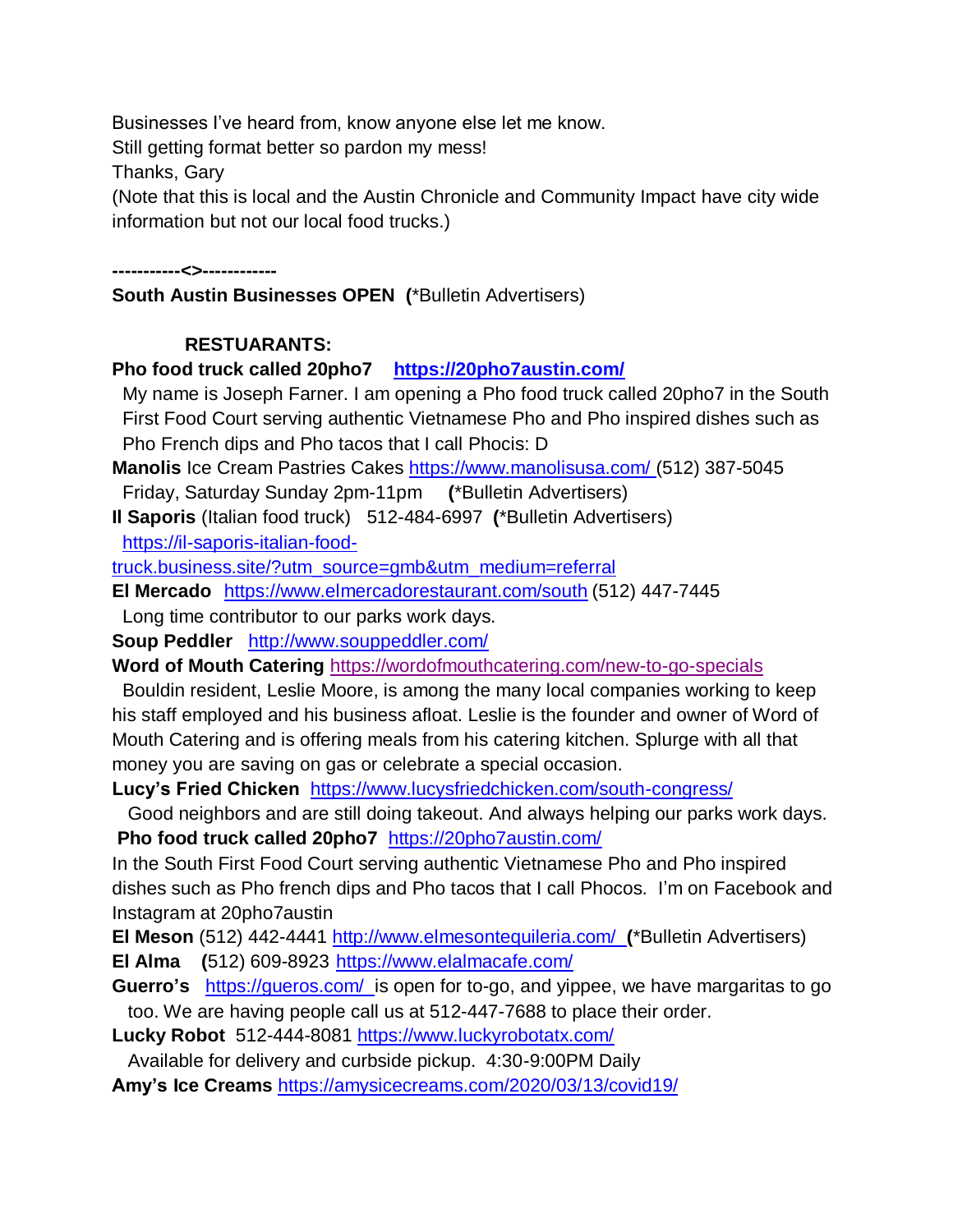Businesses I've heard from, know anyone else let me know. Still getting format better so pardon my mess! Thanks, Gary (Note that this is local and the Austin Chronicle and Community Impact have city wide information but not our local food trucks.)

**-----------<>------------**

#### **South Austin Businesses OPEN (**\*Bulletin Advertisers)

#### **RESTUARANTS:**

#### **Pho food truck called 20pho7 <https://20pho7austin.com/>**

 My name is Joseph Farner. I am opening a Pho food truck called 20pho7 in the South First Food Court serving authentic Vietnamese Pho and Pho inspired dishes such as Pho French dips and Pho tacos that I call Phocis: D

**Manolis** Ice Cream Pastries Cakes <https://www.manolisusa.com/> (512) 387-5045 Friday, Saturday Sunday 2pm-11pm **(**\*Bulletin Advertisers)

**Il Saporis** (Italian food truck) 512-484-6997 **(**\*Bulletin Advertisers) [https://il-saporis-italian-food-](https://il-saporis-italian-food-truck.business.site/?utm_source=gmb&utm_medium=referral)

[truck.business.site/?utm\\_source=gmb&utm\\_medium=referral](https://il-saporis-italian-food-truck.business.site/?utm_source=gmb&utm_medium=referral)

**El Mercado** <https://www.elmercadorestaurant.com/south> (512) 447-7445

Long time contributor to our parks work days.

**Soup Peddler** <http://www.souppeddler.com/>

**Word of Mouth Catering** <https://wordofmouthcatering.com/new-to-go-specials>

 Bouldin resident, Leslie Moore, is among the many local companies working to keep his staff employed and his business afloat. Leslie is the founder and owner of Word of Mouth Catering and is offering meals from his catering kitchen. Splurge with all that money you are saving on gas or celebrate a special occasion.

**Lucy's Fried Chicken** <https://www.lucysfriedchicken.com/south-congress/>

 Good neighbors and are still doing takeout. And always helping our parks work days. **Pho food truck called 20pho7** <https://20pho7austin.com/>

In the South First Food Court serving authentic Vietnamese Pho and Pho inspired dishes such as Pho french dips and Pho tacos that I call Phocos. I'm on Facebook and Instagram at 20pho7austin

**El Meson** (512) 442-4441 <http://www.elmesontequileria.com/>**(**\*Bulletin Advertisers)

**El Alma (**512) 609-8923 <https://www.elalmacafe.com/>

**Guerro's** <https://gueros.com/>is open for to-go, and yippee, we have margaritas to go too. We are having people call us at 512-447-7688 to place their order.

**Lucky Robot** 512-444-8081<https://www.luckyrobotatx.com/>

Available for delivery and curbside pickup. 4:30-9:00PM Daily

**Amy's Ice Creams** <https://amysicecreams.com/2020/03/13/covid19/>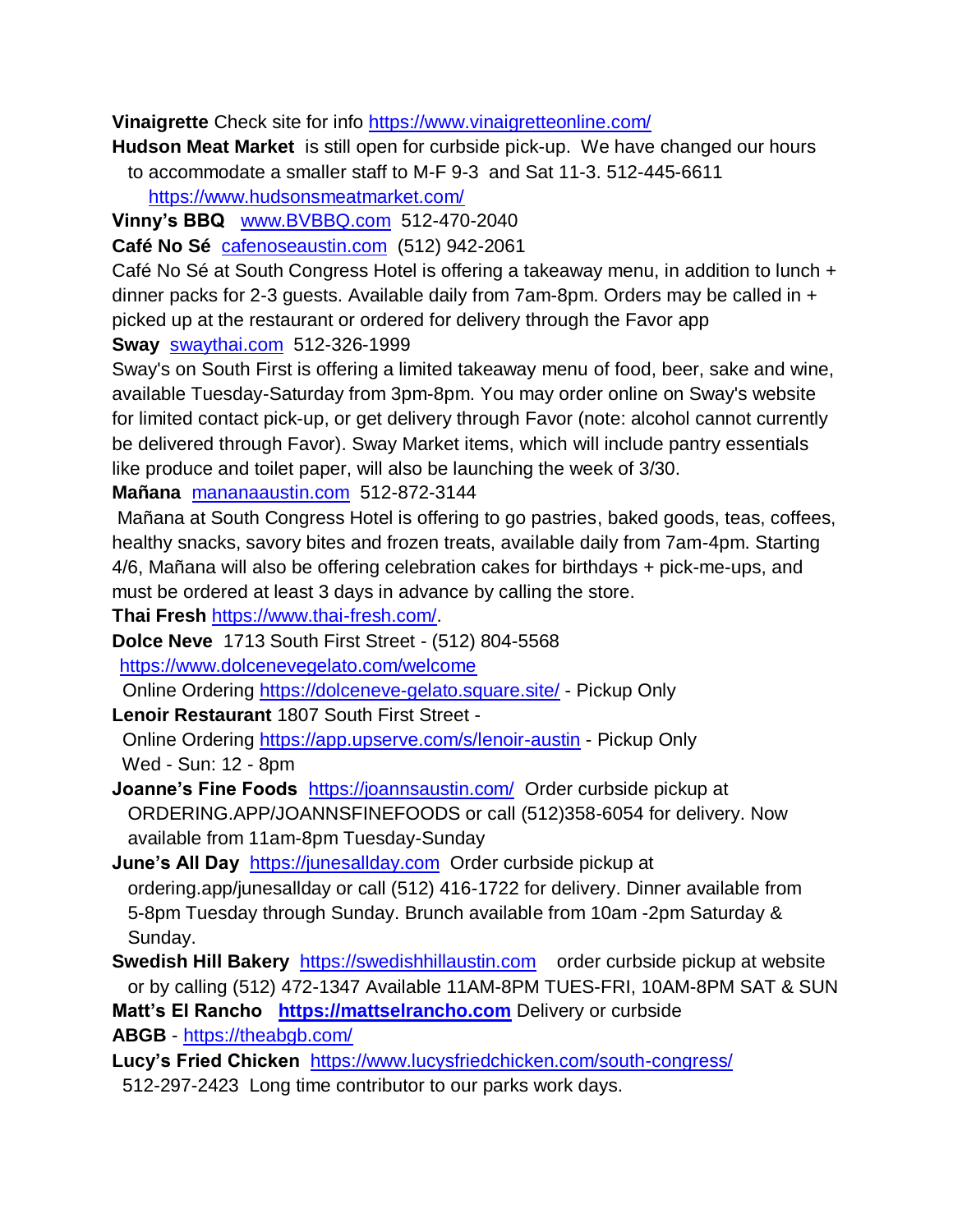## **Vinaigrette** Check site for info<https://www.vinaigretteonline.com/>

**Hudson Meat Market** is still open for curbside pick-up. We have changed our hours to accommodate a smaller staff to M-F 9-3 and Sat 11-3. 512-445-6611

<https://www.hudsonsmeatmarket.com/>

**Vinny's BBQ** [www.BVBBQ.com](http://www.bvbbq.com/) 512-470-2040

**Café No Sé** [cafenoseaustin.com](http://cafenoseaustin.com/) (512) 942-2061

Café No Sé at South Congress Hotel is offering a takeaway menu, in addition to lunch + dinner packs for 2-3 guests. Available daily from 7am-8pm. Orders may be called in + picked up at the restaurant or ordered for delivery through the Favor app

# **Sway** [swaythai.com](http://swaythai.com/) 512-326-1999

Sway's on South First is offering a limited takeaway menu of food, beer, sake and wine, available Tuesday-Saturday from 3pm-8pm. You may order online on Sway's website for limited contact pick-up, or get delivery through Favor (note: alcohol cannot currently be delivered through Favor). Sway Market items, which will include pantry essentials like produce and toilet paper, will also be launching the week of 3/30.

**Mañana** [mananaaustin.com](http://mananaaustin.com/) 512-872-3144

Mañana at South Congress Hotel is offering to go pastries, baked goods, teas, coffees, healthy snacks, savory bites and frozen treats, available daily from 7am-4pm. Starting 4/6, Mañana will also be offering celebration cakes for birthdays + pick-me-ups, and must be ordered at least 3 days in advance by calling the store.

**Thai Fresh** [https://www.thai-fresh.com/.](https://www.thai-fresh.com/)

**Dolce Neve** 1713 South First Street - (512) 804-5568

<https://www.dolcenevegelato.com/welcome>

 Online Ordering <https://dolceneve-gelato.square.site/> - Pickup Only **Lenoir Restaurant** 1807 South First Street -

 Online Ordering <https://app.upserve.com/s/lenoir-austin> - Pickup Only Wed - Sun: 12 - 8pm

- **Joanne's Fine Foods** <https://joannsaustin.com/>Order curbside pickup at ORDERING.APP/JOANNSFINEFOODS or call (512)358-6054 for delivery. Now available from 11am-8pm Tuesday-Sunday
- **June's All Day** [https://junesallday.com](https://junesallday.com/) Order curbside pickup at ordering.app/junesallday or call (512) 416-1722 for delivery. Dinner available from 5-8pm Tuesday through Sunday. Brunch available from 10am -2pm Saturday & Sunday.
- **Swedish Hill Bakery** [https://swedishhillaustin.com](https://swedishhillaustin.com/) order curbside pickup at website or by calling (512) 472-1347 Available 11AM-8PM TUES-FRI, 10AM-8PM SAT & SUN **Matt's El Rancho [https://mattselrancho.com](https://mattselrancho.com/)** Delivery or curbside **ABGB** - <https://theabgb.com/>

**Lucy's Fried Chicken** <https://www.lucysfriedchicken.com/south-congress/> 512-297-2423 Long time contributor to our parks work days.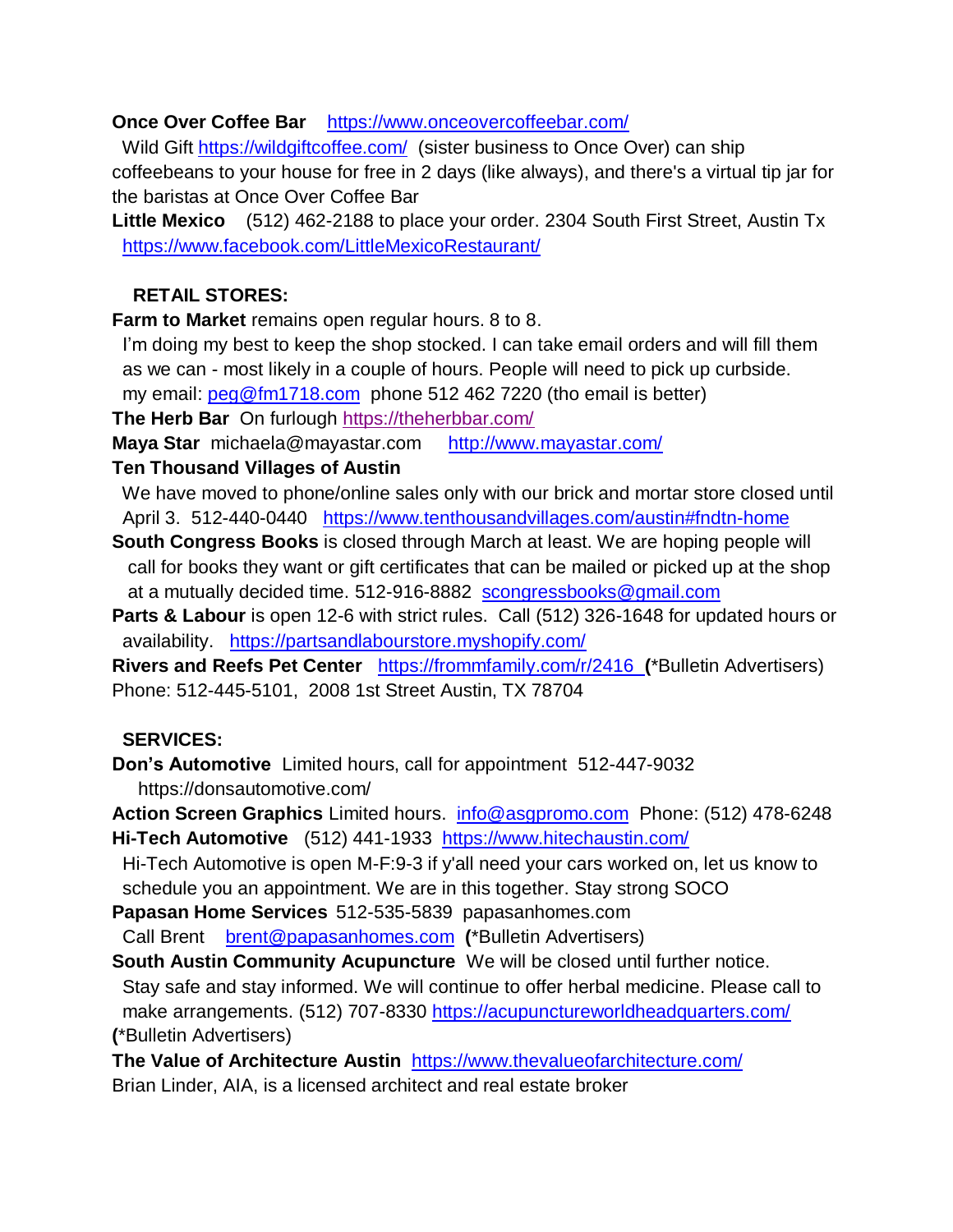### **Once Over Coffee Bar** <https://www.onceovercoffeebar.com/>

Wild Gift <https://wildgiftcoffee.com/> (sister business to Once Over) can ship coffeebeans to your house for free in 2 days (like always), and there's a virtual tip jar for the baristas at Once Over Coffee Bar

**Little Mexico** (512) 462-2188 to place your order. 2304 South First Street, Austin Tx <https://www.facebook.com/LittleMexicoRestaurant/>

### **RETAIL STORES:**

**Farm to Market** remains open regular hours. 8 to 8.

I'm doing my best to keep the shop stocked. I can take email orders and will fill them as we can - most likely in a couple of hours. People will need to pick up curbside. my email: [peg@fm1718.com](mailto:peg@fm1718.com) phone 512 462 7220 (tho email is better)

**The Herb Bar** On furlough <https://theherbbar.com/>

**Maya Star** michaela@mayastar.com <http://www.mayastar.com/>

**Ten Thousand Villages of Austin**

 We have moved to phone/online sales only with our brick and mortar store closed until April 3. 512-440-0440 [https://www.tenthousandvillages.com/austin#fndtn-home](https://www.tenthousandvillages.com/austin%23fndtn-home)

- **South Congress Books** is closed through March at least. We are hoping people will call for books they want or gift certificates that can be mailed or picked up at the shop at a mutually decided time. 512-916-8882 [scongressbooks@gmail.com](mailto:scongressbooks@gmail.com)
- **Parts & Labour** is open 12-6 with strict rules. Call (512) 326-1648 for updated hours or availability. <https://partsandlabourstore.myshopify.com/>

**Rivers and Reefs Pet Center** <https://frommfamily.com/r/2416>(\*Bulletin Advertisers) Phone: 512-445-5101, 2008 1st Street Austin, TX 78704

### **SERVICES:**

**Don's Automotive** Limited hours, call for appointment 512-447-9032 https://donsautomotive.com/

**Action Screen Graphics** Limited hours. [info@asgpromo.com](mailto:info@asgpromo.com) Phone: (512) 478-6248 **Hi-Tech Automotive** (512) 441-1933 <https://www.hitechaustin.com/>

 Hi-Tech Automotive is open M-F:9-3 if y'all need your cars worked on, let us know to schedule you an appointment. We are in this together. Stay strong SOCO

**Papasan Home Services** 512-535-5839 papasanhomes.com

Call Brent [brent@papasanhomes.com](mailto:brent@papasanhomes.com) **(**\*Bulletin Advertisers)

**South Austin Community Acupuncture** We will be closed until further notice. Stay safe and stay informed. We will continue to offer herbal medicine. Please call to make arrangements. (512) 707-8330 <https://acupunctureworldheadquarters.com/> **(**\*Bulletin Advertisers)

**The Value of Architecture Austin** <https://www.thevalueofarchitecture.com/> Brian Linder, AIA, is a licensed architect and real estate broker